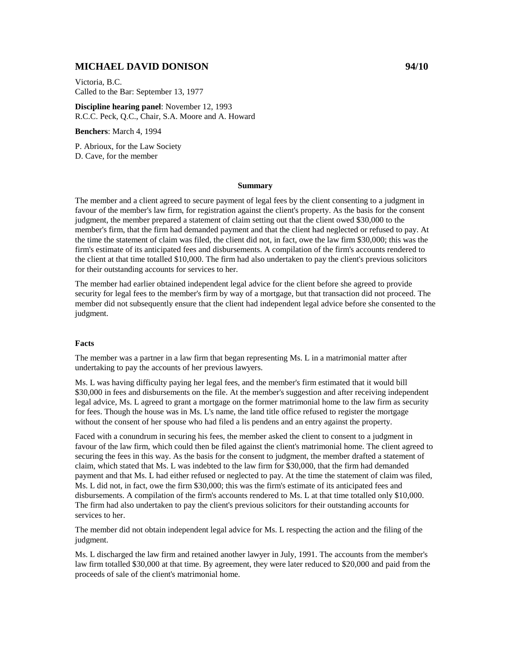# **MICHAEL DAVID DONISON 94/10**

Victoria, B.C. Called to the Bar: September 13, 1977

**Discipline hearing panel**: November 12, 1993 R.C.C. Peck, Q.C., Chair, S.A. Moore and A. Howard

**Benchers**: March 4, 1994

P. Abrioux, for the Law Society D. Cave, for the member

#### **Summary**

The member and a client agreed to secure payment of legal fees by the client consenting to a judgment in favour of the member's law firm, for registration against the client's property. As the basis for the consent judgment, the member prepared a statement of claim setting out that the client owed \$30,000 to the member's firm, that the firm had demanded payment and that the client had neglected or refused to pay. At the time the statement of claim was filed, the client did not, in fact, owe the law firm \$30,000; this was the firm's estimate of its anticipated fees and disbursements. A compilation of the firm's accounts rendered to the client at that time totalled \$10,000. The firm had also undertaken to pay the client's previous solicitors for their outstanding accounts for services to her.

The member had earlier obtained independent legal advice for the client before she agreed to provide security for legal fees to the member's firm by way of a mortgage, but that transaction did not proceed. The member did not subsequently ensure that the client had independent legal advice before she consented to the judgment.

#### **Facts**

The member was a partner in a law firm that began representing Ms. L in a matrimonial matter after undertaking to pay the accounts of her previous lawyers.

Ms. L was having difficulty paying her legal fees, and the member's firm estimated that it would bill \$30,000 in fees and disbursements on the file. At the member's suggestion and after receiving independent legal advice, Ms. L agreed to grant a mortgage on the former matrimonial home to the law firm as security for fees. Though the house was in Ms. L's name, the land title office refused to register the mortgage without the consent of her spouse who had filed a lis pendens and an entry against the property.

Faced with a conundrum in securing his fees, the member asked the client to consent to a judgment in favour of the law firm, which could then be filed against the client's matrimonial home. The client agreed to securing the fees in this way. As the basis for the consent to judgment, the member drafted a statement of claim, which stated that Ms. L was indebted to the law firm for \$30,000, that the firm had demanded payment and that Ms. L had either refused or neglected to pay. At the time the statement of claim was filed, Ms. L did not, in fact, owe the firm \$30,000; this was the firm's estimate of its anticipated fees and disbursements. A compilation of the firm's accounts rendered to Ms. L at that time totalled only \$10,000. The firm had also undertaken to pay the client's previous solicitors for their outstanding accounts for services to her.

The member did not obtain independent legal advice for Ms. L respecting the action and the filing of the judgment.

Ms. L discharged the law firm and retained another lawyer in July, 1991. The accounts from the member's law firm totalled \$30,000 at that time. By agreement, they were later reduced to \$20,000 and paid from the proceeds of sale of the client's matrimonial home.